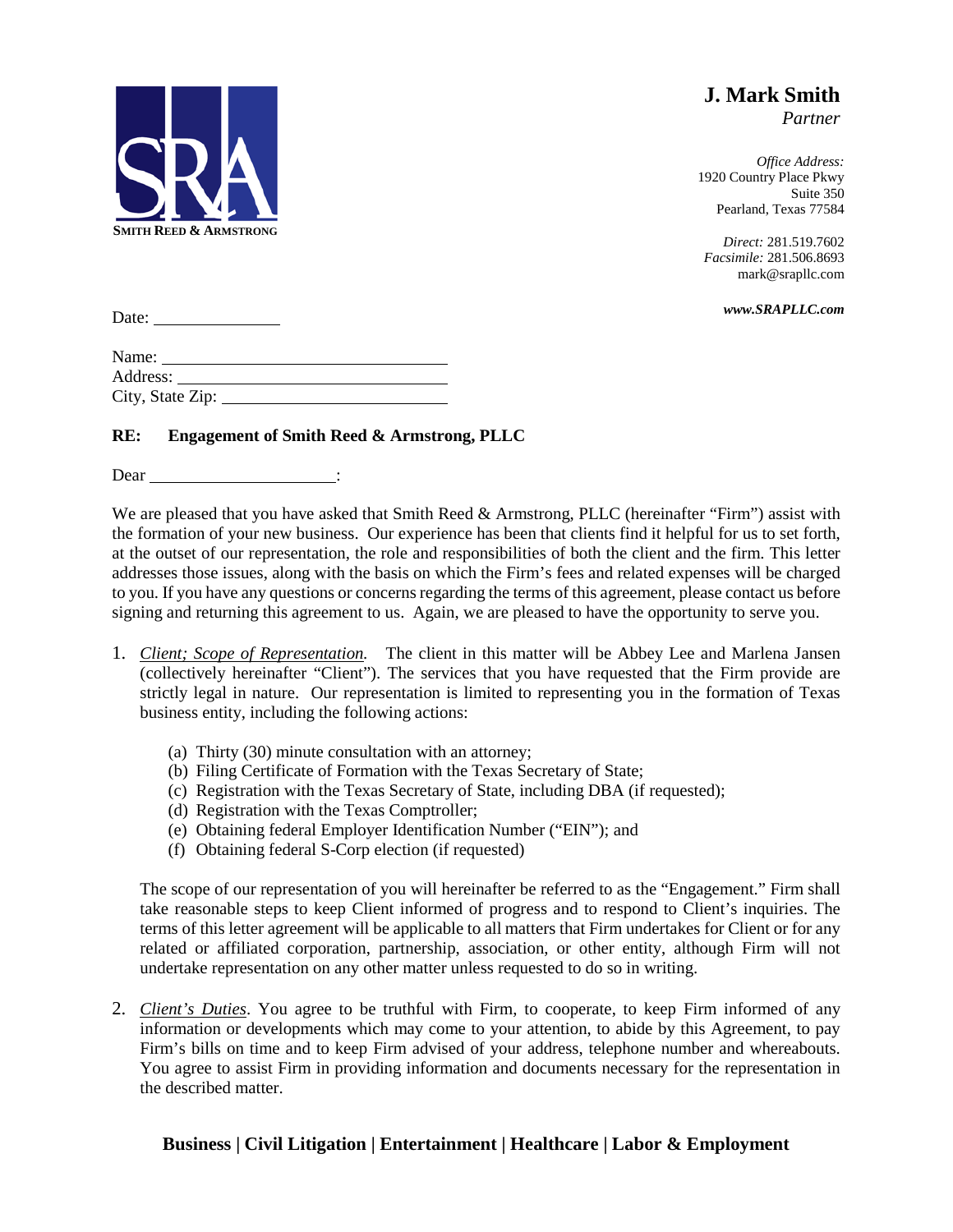

**J. Mark Smith** *Partner*

*Office Address:* 1920 Country Place Pkwy Suite 350 Pearland, Texas 77584

*Direct:* 281.519.7602 *Facsimile:* 281.506.8693 mark@srapllc.com

*www.SRAPLLC.com*

Date:

| Name:            |  |
|------------------|--|
| Address:         |  |
| City, State Zip: |  |

## **RE: Engagement of Smith Reed & Armstrong, PLLC**

Dear in the Dear

We are pleased that you have asked that Smith Reed & Armstrong, PLLC (hereinafter "Firm") assist with the formation of your new business. Our experience has been that clients find it helpful for us to set forth, at the outset of our representation, the role and responsibilities of both the client and the firm. This letter addresses those issues, along with the basis on which the Firm's fees and related expenses will be charged to you. If you have any questions or concerns regarding the terms of this agreement, please contact us before signing and returning this agreement to us. Again, we are pleased to have the opportunity to serve you.

- 1. *Client; Scope of Representation.* The client in this matter will be Abbey Lee and Marlena Jansen (collectively hereinafter "Client"). The services that you have requested that the Firm provide are strictly legal in nature. Our representation is limited to representing you in the formation of Texas business entity, including the following actions:
	- (a) Thirty (30) minute consultation with an attorney;
	- (b) Filing Certificate of Formation with the Texas Secretary of State;
	- (c) Registration with the Texas Secretary of State, including DBA (if requested);
	- (d) Registration with the Texas Comptroller;
	- (e) Obtaining federal Employer Identification Number ("EIN"); and
	- (f) Obtaining federal S-Corp election (if requested)

The scope of our representation of you will hereinafter be referred to as the "Engagement." Firm shall take reasonable steps to keep Client informed of progress and to respond to Client's inquiries. The terms of this letter agreement will be applicable to all matters that Firm undertakes for Client or for any related or affiliated corporation, partnership, association, or other entity, although Firm will not undertake representation on any other matter unless requested to do so in writing.

2. *Client's Duties*. You agree to be truthful with Firm, to cooperate, to keep Firm informed of any information or developments which may come to your attention, to abide by this Agreement, to pay Firm's bills on time and to keep Firm advised of your address, telephone number and whereabouts. You agree to assist Firm in providing information and documents necessary for the representation in the described matter.

## **Business | Civil Litigation | Entertainment | Healthcare | Labor & Employment**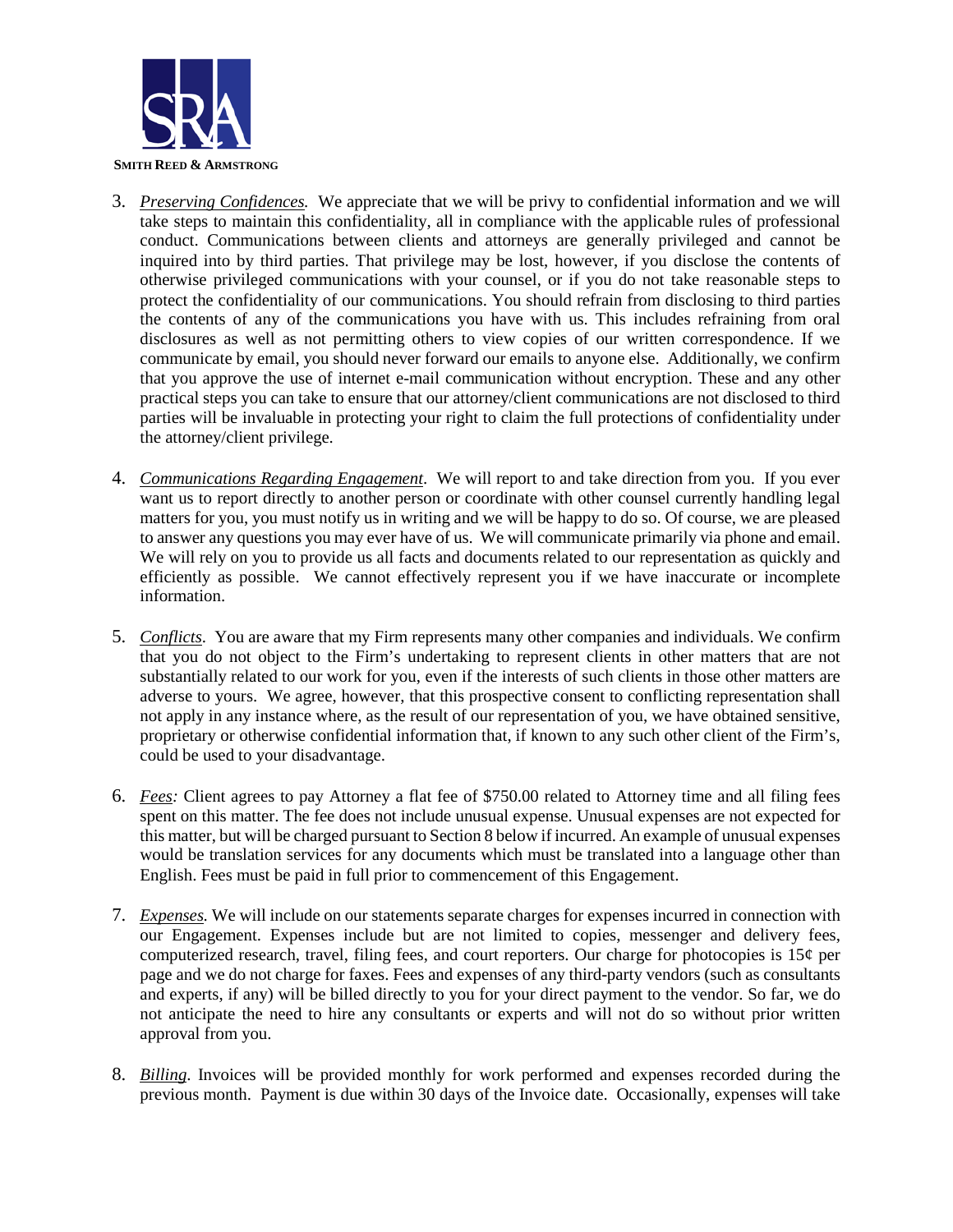

- 3. *Preserving Confidences.* We appreciate that we will be privy to confidential information and we will take steps to maintain this confidentiality, all in compliance with the applicable rules of professional conduct. Communications between clients and attorneys are generally privileged and cannot be inquired into by third parties. That privilege may be lost, however, if you disclose the contents of otherwise privileged communications with your counsel, or if you do not take reasonable steps to protect the confidentiality of our communications. You should refrain from disclosing to third parties the contents of any of the communications you have with us. This includes refraining from oral disclosures as well as not permitting others to view copies of our written correspondence. If we communicate by email, you should never forward our emails to anyone else. Additionally, we confirm that you approve the use of internet e-mail communication without encryption. These and any other practical steps you can take to ensure that our attorney/client communications are not disclosed to third parties will be invaluable in protecting your right to claim the full protections of confidentiality under the attorney/client privilege.
- 4. *Communications Regarding Engagement*. We will report to and take direction from you. If you ever want us to report directly to another person or coordinate with other counsel currently handling legal matters for you, you must notify us in writing and we will be happy to do so. Of course, we are pleased to answer any questions you may ever have of us. We will communicate primarily via phone and email. We will rely on you to provide us all facts and documents related to our representation as quickly and efficiently as possible. We cannot effectively represent you if we have inaccurate or incomplete information.
- 5. *Conflicts*. You are aware that my Firm represents many other companies and individuals. We confirm that you do not object to the Firm's undertaking to represent clients in other matters that are not substantially related to our work for you, even if the interests of such clients in those other matters are adverse to yours. We agree, however, that this prospective consent to conflicting representation shall not apply in any instance where, as the result of our representation of you, we have obtained sensitive, proprietary or otherwise confidential information that, if known to any such other client of the Firm's, could be used to your disadvantage.
- 6. *Fees:* Client agrees to pay Attorney a flat fee of \$750.00 related to Attorney time and all filing fees spent on this matter. The fee does not include unusual expense. Unusual expenses are not expected for this matter, but will be charged pursuant to Section 8 below if incurred. An example of unusual expenses would be translation services for any documents which must be translated into a language other than English. Fees must be paid in full prior to commencement of this Engagement.
- 7. *Expenses.* We will include on our statements separate charges for expenses incurred in connection with our Engagement. Expenses include but are not limited to copies, messenger and delivery fees, computerized research, travel, filing fees, and court reporters. Our charge for photocopies is 15¢ per page and we do not charge for faxes. Fees and expenses of any third-party vendors (such as consultants and experts, if any) will be billed directly to you for your direct payment to the vendor. So far, we do not anticipate the need to hire any consultants or experts and will not do so without prior written approval from you.
- 8. *Billing*. Invoices will be provided monthly for work performed and expenses recorded during the previous month. Payment is due within 30 days of the Invoice date. Occasionally, expenses will take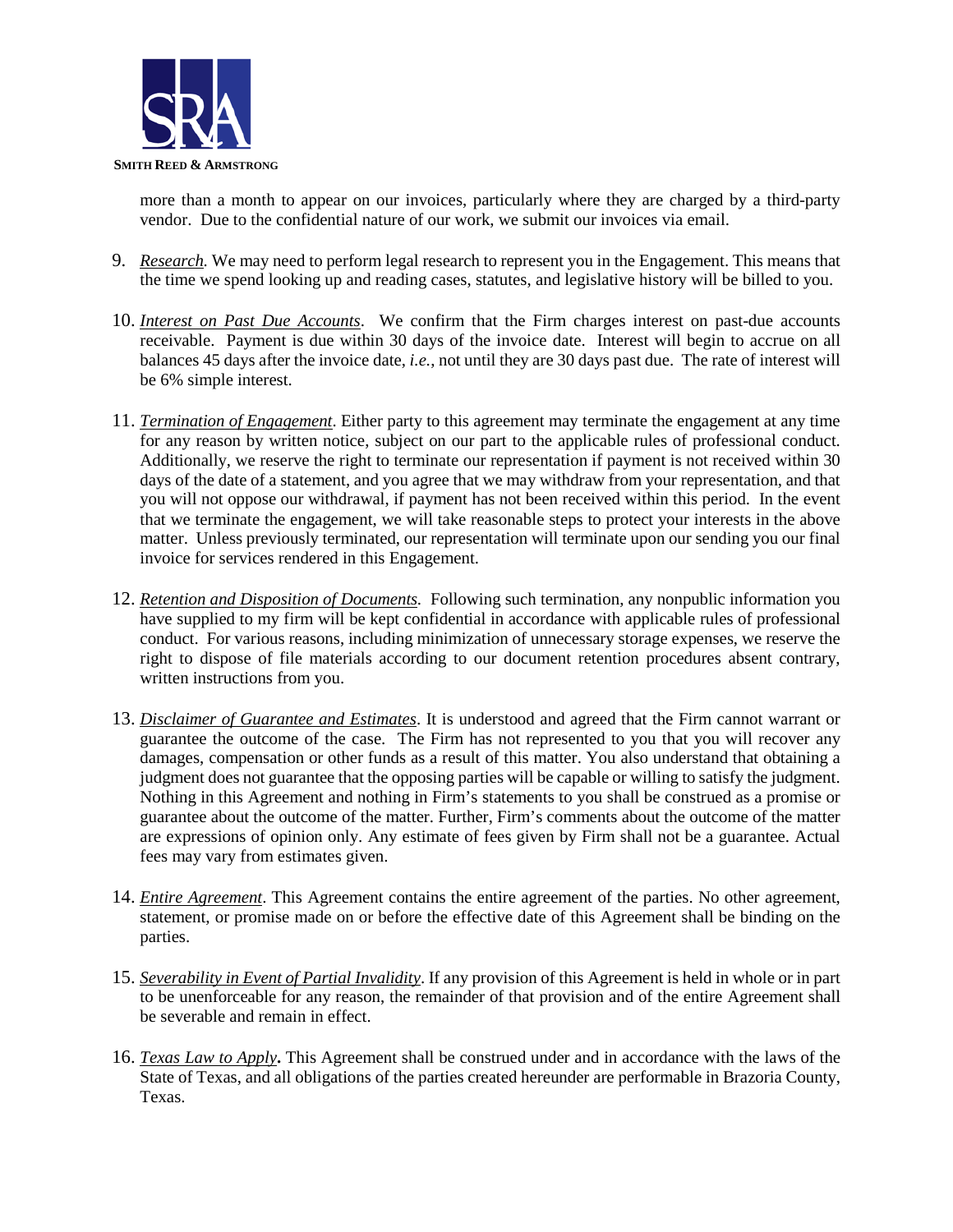

more than a month to appear on our invoices, particularly where they are charged by a third-party vendor. Due to the confidential nature of our work, we submit our invoices via email.

- 9. *Research.* We may need to perform legal research to represent you in the Engagement. This means that the time we spend looking up and reading cases, statutes, and legislative history will be billed to you.
- 10. *Interest on Past Due Accounts*. We confirm that the Firm charges interest on past-due accounts receivable. Payment is due within 30 days of the invoice date. Interest will begin to accrue on all balances 45 days after the invoice date, *i.e.*, not until they are 30 days past due. The rate of interest will be 6% simple interest.
- 11. *Termination of Engagement*. Either party to this agreement may terminate the engagement at any time for any reason by written notice, subject on our part to the applicable rules of professional conduct. Additionally, we reserve the right to terminate our representation if payment is not received within 30 days of the date of a statement, and you agree that we may withdraw from your representation, and that you will not oppose our withdrawal, if payment has not been received within this period. In the event that we terminate the engagement, we will take reasonable steps to protect your interests in the above matter. Unless previously terminated, our representation will terminate upon our sending you our final invoice for services rendered in this Engagement.
- 12. *Retention and Disposition of Documents.* Following such termination, any nonpublic information you have supplied to my firm will be kept confidential in accordance with applicable rules of professional conduct. For various reasons, including minimization of unnecessary storage expenses, we reserve the right to dispose of file materials according to our document retention procedures absent contrary, written instructions from you.
- 13. *Disclaimer of Guarantee and Estimates*. It is understood and agreed that the Firm cannot warrant or guarantee the outcome of the case. The Firm has not represented to you that you will recover any damages, compensation or other funds as a result of this matter. You also understand that obtaining a judgment does not guarantee that the opposing parties will be capable or willing to satisfy the judgment. Nothing in this Agreement and nothing in Firm's statements to you shall be construed as a promise or guarantee about the outcome of the matter. Further, Firm's comments about the outcome of the matter are expressions of opinion only. Any estimate of fees given by Firm shall not be a guarantee. Actual fees may vary from estimates given.
- 14. *Entire Agreement*. This Agreement contains the entire agreement of the parties. No other agreement, statement, or promise made on or before the effective date of this Agreement shall be binding on the parties.
- 15. *Severability in Event of Partial Invalidity*. If any provision of this Agreement is held in whole or in part to be unenforceable for any reason, the remainder of that provision and of the entire Agreement shall be severable and remain in effect.
- 16. *Texas Law to Apply***.** This Agreement shall be construed under and in accordance with the laws of the State of Texas, and all obligations of the parties created hereunder are performable in Brazoria County, Texas.